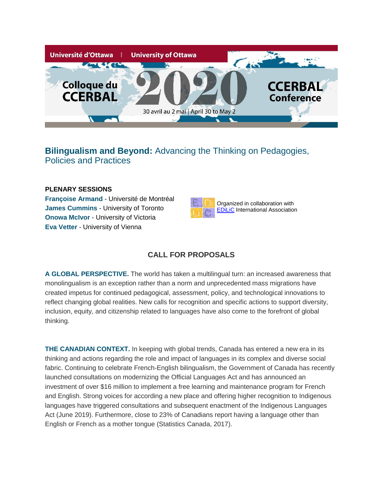

# **Bilingualism and Beyond:** Advancing the Thinking on Pedagogies, Policies and Practices

## **PLENARY SESSIONS**

**Françoise Armand** - Université de Montréal **James Cummins** - University of Toronto **Onowa McIvor** - University of Victoria **Eva Vetter** - University of Vienna



## **CALL FOR PROPOSALS**

**A GLOBAL PERSPECTIVE.** The world has taken a multilingual turn: an increased awareness that monolingualism is an exception rather than a norm and unprecedented mass migrations have created impetus for continued pedagogical, assessment, policy, and technological innovations to reflect changing global realities. New calls for recognition and specific actions to support diversity, inclusion, equity, and citizenship related to languages have also come to the forefront of global thinking.

**THE CANADIAN CONTEXT.** In keeping with global trends, Canada has entered a new era in its thinking and actions regarding the role and impact of languages in its complex and diverse social fabric. Continuing to celebrate French-English bilingualism, the Government of Canada has recently launched consultations on modernizing the Official Languages Act and has announced an investment of over \$16 million to implement a free learning and maintenance program for French and English. Strong voices for according a new place and offering higher recognition to Indigenous languages have triggered consultations and subsequent enactment of the Indigenous Languages Act (June 2019). Furthermore, close to 23% of Canadians report having a language other than English or French as a mother tongue (Statistics Canada, 2017).